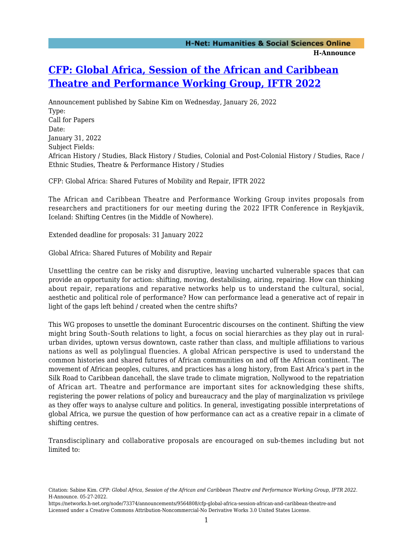## **[CFP: Global Africa, Session of the African and Caribbean](https://networks.h-net.org/node/73374/announcements/9564808/cfp-global-africa-session-african-and-caribbean-theatre-and) [Theatre and Performance Working Group, IFTR 2022](https://networks.h-net.org/node/73374/announcements/9564808/cfp-global-africa-session-african-and-caribbean-theatre-and)**

Announcement published by Sabine Kim on Wednesday, January 26, 2022 Type: Call for Papers Date: January 31, 2022 Subject Fields: African History / Studies, Black History / Studies, Colonial and Post-Colonial History / Studies, Race / Ethnic Studies, Theatre & Performance History / Studies

CFP: Global Africa: Shared Futures of Mobility and Repair, IFTR 2022

The African and Caribbean Theatre and Performance Working Group invites proposals from researchers and practitioners for our meeting during the 2022 IFTR Conference in Reykjavik, Iceland: Shifting Centres (in the Middle of Nowhere).

Extended deadline for proposals: 31 January 2022

Global Africa: Shared Futures of Mobility and Repair

Unsettling the centre can be risky and disruptive, leaving uncharted vulnerable spaces that can provide an opportunity for action: shifting, moving, destabilising, airing, repairing. How can thinking about repair, reparations and reparative networks help us to understand the cultural, social, aesthetic and political role of performance? How can performance lead a generative act of repair in light of the gaps left behind / created when the centre shifts?

This WG proposes to unsettle the dominant Eurocentric discourses on the continent. Shifting the view might bring South–South relations to light, a focus on social hierarchies as they play out in ruralurban divides, uptown versus downtown, caste rather than class, and multiple affiliations to various nations as well as polylingual fluencies. A global African perspective is used to understand the common histories and shared futures of African communities on and off the African continent. The movement of African peoples, cultures, and practices has a long history, from East Africa's part in the Silk Road to Caribbean dancehall, the slave trade to climate migration, Nollywood to the repatriation of African art. Theatre and performance are important sites for acknowledging these shifts, registering the power relations of policy and bureaucracy and the play of marginalization vs privilege as they offer ways to analyse culture and politics. In general, investigating possible interpretations of global Africa, we pursue the question of how performance can act as a creative repair in a climate of shifting centres.

Transdisciplinary and collaborative proposals are encouraged on sub-themes including but not limited to:

Citation: Sabine Kim. *CFP: Global Africa, Session of the African and Caribbean Theatre and Performance Working Group, IFTR 2022*. H-Announce. 05-27-2022.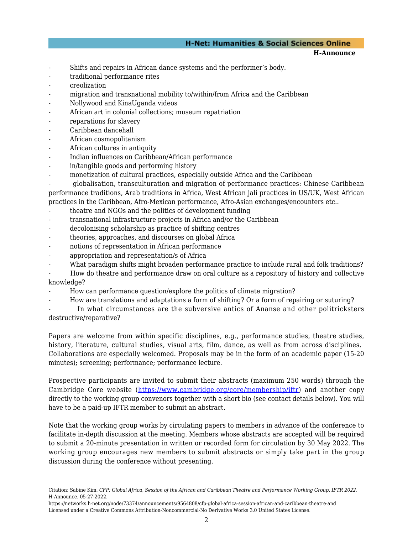## **H-Net: Humanities & Social Sciences Online**

**H-Announce** 

- Shifts and repairs in African dance systems and the performer's body.
- traditional performance rites
- creolization
- migration and transnational mobility to/within/from Africa and the Caribbean
- Nollywood and KinaUganda videos
- African art in colonial collections; museum repatriation
- reparations for slavery
- Caribbean dancehall
- African cosmopolitanism
- African cultures in antiquity
- Indian influences on Caribbean/African performance
- in/tangible goods and performing history
- monetization of cultural practices, especially outside Africa and the Caribbean

- globalisation, transculturation and migration of performance practices: Chinese Caribbean performance traditions, Arab traditions in Africa, West African jali practices in US/UK, West African practices in the Caribbean, Afro-Mexican performance, Afro-Asian exchanges/encounters etc..

- theatre and NGOs and the politics of development funding
- transnational infrastructure projects in Africa and/or the Caribbean
- decolonising scholarship as practice of shifting centres
- theories, approaches, and discourses on global Africa
- notions of representation in African performance
- appropriation and representation/s of Africa
- What paradigm shifts might broaden performance practice to include rural and folk traditions?
- How do theatre and performance draw on oral culture as a repository of history and collective knowledge?
- How can performance question/explore the politics of climate migration?
- How are translations and adaptations a form of shifting? Or a form of repairing or suturing?
- In what circumstances are the subversive antics of Ananse and other politricksters destructive/reparative?

Papers are welcome from within specific disciplines, e.g., performance studies, theatre studies, history, literature, cultural studies, visual arts, film, dance, as well as from across disciplines. Collaborations are especially welcomed. Proposals may be in the form of an academic paper (15-20 minutes); screening; performance; performance lecture.

Prospective participants are invited to submit their abstracts (maximum 250 words) through the Cambridge Core website ([https://www.cambridge.org/core/membership/iftr\)](https://mail.uni-mainz.de/owa/redir.aspx?REF=AVQg5t8hT20m55DTaDquR7ndHaN4u5pEahmfpEueEJH3MGWvSNvZCAFodHRwczovL3d3dy5jYW1icmlkZ2Uub3JnL2NvcmUvbWVtYmVyc2hpcC9pZnRy) and another copy directly to the working group convenors together with a short bio (see contact details below). You will have to be a paid-up IFTR member to submit an abstract.

Note that the working group works by circulating papers to members in advance of the conference to facilitate in-depth discussion at the meeting. Members whose abstracts are accepted will be required to submit a 20-minute presentation in written or recorded form for circulation by 30 May 2022. The working group encourages new members to submit abstracts or simply take part in the group discussion during the conference without presenting.

Citation: Sabine Kim. *CFP: Global Africa, Session of the African and Caribbean Theatre and Performance Working Group, IFTR 2022*. H-Announce. 05-27-2022.